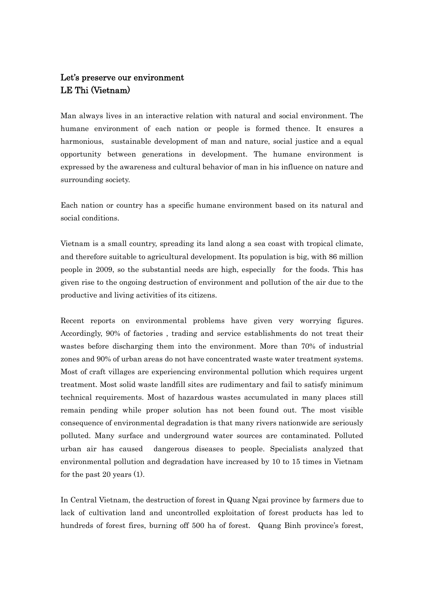## Let's preserve our environment LE Thi (Vietnam)

Man always lives in an interactive relation with natural and social environment. The humane environment of each nation or people is formed thence. It ensures a harmonious, sustainable development of man and nature, social justice and a equal opportunity between generations in development. The humane environment is expressed by the awareness and cultural behavior of man in his influence on nature and surrounding society.

Each nation or country has a specific humane environment based on its natural and social conditions.

Vietnam is a small country, spreading its land along a sea coast with tropical climate, and therefore suitable to agricultural development. Its population is big, with 86 million people in 2009, so the substantial needs are high, especially for the foods. This has given rise to the ongoing destruction of environment and pollution of the air due to the productive and living activities of its citizens.

Recent reports on environmental problems have given very worrying figures. Accordingly, 90% of factories , trading and service establishments do not treat their wastes before discharging them into the environment. More than 70% of industrial zones and 90% of urban areas do not have concentrated waste water treatment systems. Most of craft villages are experiencing environmental pollution which requires urgent treatment. Most solid waste landfill sites are rudimentary and fail to satisfy minimum technical requirements. Most of hazardous wastes accumulated in many places still remain pending while proper solution has not been found out. The most visible consequence of environmental degradation is that many rivers nationwide are seriously polluted. Many surface and underground water sources are contaminated. Polluted urban air has caused dangerous diseases to people. Specialists analyzed that environmental pollution and degradation have increased by 10 to 15 times in Vietnam for the past 20 years (1).

In Central Vietnam, the destruction of forest in Quang Ngai province by farmers due to lack of cultivation land and uncontrolled exploitation of forest products has led to hundreds of forest fires, burning off 500 ha of forest. Quang Binh province's forest,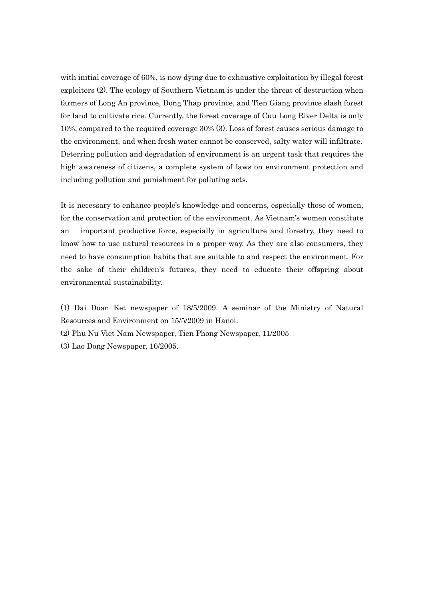with initial coverage of 60%, is now dying due to exhaustive exploitation by illegal forest exploiters (2). The ecology of Southern Vietnam is under the threat of destruction when farmers of Long An province, Dong Thap province, and Tien Giang province slash forest for land to cultivate rice. Currently, the forest coverage of Cuu Long River Delta is only 10%, compared to the required coverage 30% (3). Loss of forest causes serious damage to the environment, and when fresh water cannot be conserved, salty water will infiltrate. Deterring pollution and degradation of environment is an urgent task that requires the high awareness of citizens, a complete system of laws on environment protection and including pollution and punishment for polluting acts.

It is necessary to enhance people's knowledge and concerns, especially those of women, for the conservation and protection of the environment. As Vietnam's women constitute an important productive force, especially in agriculture and forestry, they need to know how to use natural resources in a proper way. As they are also consumers, they need to have consumption habits that are suitable to and respect the environment. For the sake of their children's futures, they need to educate their offspring about environmental sustainability.

(1) Dai Doan Ket newspaper of 18/5/2009. A seminar of the Ministry of Natural Resources and Environment on 15/5/2009 in Hanoi.

(2) Phu Nu Viet Nam Newspaper, Tien Phong Newspaper, 11/2005

(3) Lao Dong Newspaper, 10/2005.